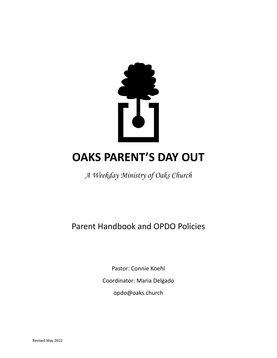

# **OAKS PARENT'S DAY OUT**

*A Weekday Ministry of Oaks Church*

Parent Handbook and OPDO Policies

Pastor: Connie Koehl Coordinator: Maria Delgado opdo@oaks.church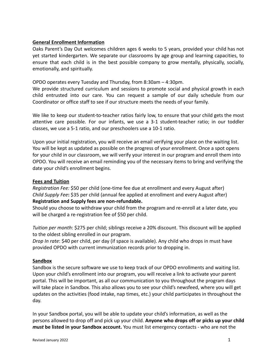# **General Enrollment Information**

Oaks Parent's Day Out welcomes children ages 6 weeks to 5 years, provided your child has not yet started kindergarten. We separate our classrooms by age group and learning capacities, to ensure that each child is in the best possible company to grow mentally, physically, socially, emotionally, and spiritually.

# OPDO operates every Tuesday and Thursday, from 8:30am – 4:30pm.

We provide structured curriculum and sessions to promote social and physical growth in each child entrusted into our care. You can request a sample of our daily schedule from our Coordinator or office staff to see if our structure meets the needs of your family.

We like to keep our student-to-teacher ratios fairly low, to ensure that your child gets the most attentive care possible. For our infants, we use a 3-1 student-teacher ratio; in our toddler classes, we use a 5-1 ratio, and our preschoolers use a 10-1 ratio.

Upon your initial registration, you will receive an email verifying your place on the waiting list. You will be kept as updated as possible on the progress of your enrollment. Once a spot opens for your child in our classroom, we will verify your interest in our program and enroll them into OPDO. You will receive an email reminding you of the necessary items to bring and verifying the date your child's enrollment begins.

# **Fees and Tuition**

*Registration Fee:* \$50 per child (one-time fee due at enrollment and every August after) *Child Supply Fee***:** \$35 per child (annual fee applied at enrollment and every August after) **Registration and Supply fees are non-refundable.**

Should you choose to withdraw your child from the program and re-enroll at a later date, you will be charged a re-registration fee of \$50 per child.

*Tuition per month*: \$275 per child; siblings receive a 20% discount. This discount will be applied to the oldest sibling enrolled in our program.

*Drop In rate*: \$40 per child, per day (if space is available). Any child who drops in must have provided OPDO with current immunization records prior to dropping in.

## **Sandbox**

Sandbox is the secure software we use to keep track of our OPDO enrollments and waiting list. Upon your child's enrollment into our program, you will receive a link to activate your parent portal. This will be important, as all our communication to you throughout the program days will take place in Sandbox. This also allows you to see your child's newsfeed, where you will get updates on the activities (food intake, nap times, etc.) your child participates in throughout the day.

In your Sandbox portal, you will be able to update your child's information, as well as the persons allowed to drop off and pick up your child. **Anyone who drops off or picks up your child** *must* **be listed in your Sandbox account.** You must list emergency contacts - who are not the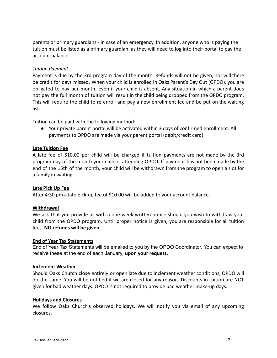parents or primary guardians - in case of an emergency. In addition, anyone who is paying the tuition must be listed as a primary guardian, as they will need to log into their portal to pay the account balance.

#### *Tuition Payment*

Payment is due by the 3rd program day of the month. Refunds will not be given, nor will there be credit for days missed. When your child is enrolled in Oaks Parent's Day Out (OPDO), you are obligated to pay per month, even if your child is absent. Any situation in which a parent does not pay the full month of tuition will result in the child being dropped from the OPDO program. This will require the child to re-enroll and pay a new enrollment fee and be put on the waiting list.

Tuition can be paid with the following method:

● Your private parent portal will be activated within 3 days of confirmed enrollment. All payments to OPDO are made via your parent portal (debit/credit card).

#### **Late Tuition Fee**

A late fee of \$10.00 per child will be charged if tuition payments are not made by the 3rd program day of the month your child is attending OPDO. If payment has not been made by the end of the 15th of the month, your child will be withdrawn from the program to open a slot for a family in waiting.

#### **Late Pick Up Fee**

After 4:30 pm a late pick-up fee of \$10.00 will be added to your account balance.

#### **Withdrawal**

We ask that you provide us with a one-week written notice should you wish to withdraw your child from the OPDO program. Until proper notice is given, you are responsible for all tuition fees. **NO refunds will be given.**

#### **End of Year Tax Statements**

End of Year Tax Statements will be emailed to you by the OPDO Coordinator. You can expect to receive these at the end of each January, **upon your request.**

#### **Inclement Weather**

Should Oaks Church close entirely or open late due to inclement weather conditions, OPDO will do the same. You will be notified if we are closed for any reason. Discounts in tuition are NOT given for bad weather days. OPDO is not required to provide bad weather make-up days.

#### **Holidays and Closures**

We follow Oaks Church's observed holidays. We will notify you via email of any upcoming closures.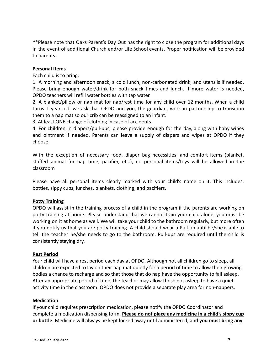\*\*Please note that Oaks Parent's Day Out has the right to close the program for additional days in the event of additional Church and/or Life School events. Proper notification will be provided to parents.

#### **Personal Items**

Each child is to bring:

1. A morning and afternoon snack, a cold lunch, non-carbonated drink, and utensils if needed. Please bring enough water/drink for both snack times and lunch. If more water is needed, OPDO teachers will refill water bottles with tap water.

2. A blanket/pillow or nap mat for nap/rest time for any child over 12 months. When a child turns 1 year old, we ask that OPDO and you, the guardian, work in partnership to transition them to a nap mat so our crib can be reassigned to an infant.

3. At least ONE change of clothing in case of accidents.

4. For children in diapers/pull-ups, please provide enough for the day, along with baby wipes and ointment if needed. Parents can leave a supply of diapers and wipes at OPDO if they choose.

With the exception of necessary food, diaper bag necessities, and comfort items (blanket, stuffed animal for nap time, pacifier, etc.), no personal items/toys will be allowed in the classroom

Please have all personal items clearly marked with your child's name on it. This includes: bottles, sippy cups, lunches, blankets, clothing, and pacifiers.

## **Potty Training**

OPDO will assist in the training process of a child in the program if the parents are working on potty training at home. Please understand that we cannot train your child alone, you must be working on it at home as well. We will take your child to the bathroom regularly, but more often if you notify us that you are potty training. A child should wear a Pull-up until he/she is able to tell the teacher he/she needs to go to the bathroom. Pull-ups are required until the child is consistently staying dry.

#### **Rest Period**

Your child will have a rest period each day at OPDO. Although not all children go to sleep, all children are expected to lay on their nap mat quietly for a period of time to allow their growing bodies a chance to recharge and so that those that do nap have the opportunity to fall asleep. After an appropriate period of time, the teacher may allow those not asleep to have a quiet activity time in the classroom. OPDO does not provide a separate play area for non-nappers.

#### **Medication**

If your child requires prescription medication, please notify the OPDO Coordinator and complete a medication dispensing form. **Please do not place any medicine in a child's sippy cup or bottle**. Medicine will always be kept locked away until administered, and **you must bring any**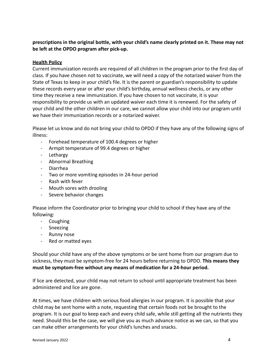**prescriptions in the original bottle, with your child's name clearly printed on it. These may not be left at the OPDO program after pick-up.**

## **Health Policy**

Current immunization records are required of all children in the program prior to the first day of class. If you have chosen not to vaccinate, we will need a copy of the notarized waiver from the State of Texas to keep in your child's file. It is the parent or guardian's responsibility to update these records every year or after your child's birthday, annual wellness checks, or any other time they receive a new immunization. If you have chosen to not vaccinate, it is your responsibility to provide us with an updated waiver each time it is renewed. For the safety of your child and the other children in our care, we cannot allow your child into our program until we have their immunization records or a notarized waiver.

Please let us know and do not bring your child to OPDO if they have any of the following signs of illness:

- Forehead temperature of 100.4 degrees or higher
- Armpit temperature of 99.4 degrees or higher
- Lethargy
- Abnormal Breathing
- Diarrhea
- Two or more vomiting episodes in 24-hour period
- Rash with fever
- Mouth sores with drooling
- Severe behavior changes

Please inform the Coordinator prior to bringing your child to school if they have any of the following:

- Coughing
- Sneezing
- Runny nose
- Red or matted eyes

Should your child have any of the above symptoms or be sent home from our program due to sickness, they must be symptom-free for 24 hours before returning to OPDO. **This means they must be symptom-free without any means of medication for a 24-hour period.**

If lice are detected, your child may not return to school until appropriate treatment has been administered and lice are gone.

At times, we have children with serious food allergies in our program. It is possible that your child may be sent home with a note, requesting that certain foods not be brought to the program. It is our goal to keep each and every child safe, while still getting all the nutrients they need. Should this be the case, we will give you as much advance notice as we can, so that you can make other arrangements for your child's lunches and snacks.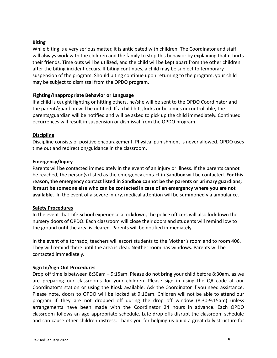## **Biting**

While biting is a very serious matter, it is anticipated with children. The Coordinator and staff will always work with the children and the family to stop this behavior by explaining that it hurts their friends. Time outs will be utilized, and the child will be kept apart from the other children after the biting incident occurs. If biting continues, a child may be subject to temporary suspension of the program. Should biting continue upon returning to the program, your child may be subject to dismissal from the OPDO program.

# **Fighting/Inappropriate Behavior or Language**

If a child is caught fighting or hitting others, he/she will be sent to the OPDO Coordinator and the parent/guardian will be notified. If a child hits, kicks or becomes uncontrollable, the parents/guardian will be notified and will be asked to pick up the child immediately. Continued occurrences will result in suspension or dismissal from the OPDO program.

## **Discipline**

Discipline consists of positive encouragement. Physical punishment is never allowed. OPDO uses time out and redirection/guidance in the classroom.

# **Emergency/Injury**

Parents will be contacted immediately in the event of an injury or illness. If the parents cannot be reached, the person(s) listed as the emergency contact in Sandbox will be contacted. **For this reason, the emergency contact listed in Sandbox cannot be the parents or primary guardians; it must be someone else who can be contacted in case of an emergency where you are not available**. In the event of a severe injury, medical attention will be summoned via ambulance.

## **Safety Procedures**

In the event that Life School experience a lockdown, the police officers will also lockdown the nursery doors of OPDO. Each classroom will close their doors and students will remind low to the ground until the area is cleared. Parents will be notified immediately.

In the event of a tornado, teachers will escort students to the Mother's room and to room 406. They will remind there until the area is clear. Neither room has windows. Parents will be contacted immediately.

## **Sign In/Sign Out Procedures**

Drop off time is between 8:30am – 9:15am. Please do not bring your child before 8:30am, as we are preparing our classrooms for your children. Please sign in using the QR code at our Coordinator's station or using the Kiosk available. Ask the Coordinator if you need assistance. Please note, doors to OPDO will be locked at 9:16am. Children will not be able to attend our program if they are not dropped off during the drop off window (8:30-9:15am) unless arrangements have been made with the Coordinator 24 hours in advance. Each OPDO classroom follows an age appropriate schedule. Late drop offs disrupt the classroom schedule and can cause other children distress. Thank you for helping us build a great daily structure for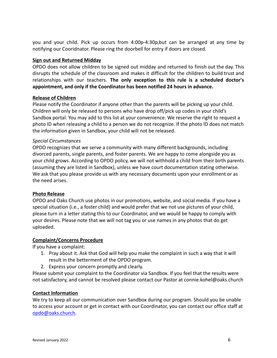you and your child. Pick up occurs from 4:00p-4:30p,but can be arranged at any time by notifying our Cooridnator. Please ring the doorbell for entry if doors are closed.

## **Sign out and Returned Midday**

OPDO does not allow children to be signed out midday and returned to finish out the day. This disrupts the schedule of the classroom and makes it difficult for the children to build trust and relationships with our teachers. **The only exception to this rule is a scheduled doctor's appointment, and only if the Coordinator has been notified 24 hours in advance.**

## **Release of Children**

Please notify the Coordinator if anyone other than the parents will be picking up your child. Children will only be released to persons who have drop off/pick up codes in your child's Sandbox portal. You may add to this list at your convenience. We reserve the right to request a photo ID when releasing a child to a person we do not recognize. If the photo ID does not match the information given in Sandbox, your child will not be released.

# *Special Circumstances*

OPDO recognizes that we serve a community with many different backgrounds, including divorced parents, single parents, and foster parents. We are happy to come alongside you as your child grows. According to OPDO policy, we will not withhold a child from their birth parents (assuming they are listed in Sandbox), unless we have court documentation stating otherwise. We ask that you please provide us with any necessary documents upon your enrollment or as the need arises.

## **Photo Release**

OPDO and Oaks Church use photos in our promotions, website, and social media. If you have a special situation (i.e., a foster child) and would prefer that we not use pictures of your child, please turn in a letter stating this to our Coordinator, and we would be happy to comply with your desires. Please note that we will not tag you or use names in any photos that do get uploaded.

## **Complaint/Concerns Procedure**

If you have a complaint:

- 1. Pray about it. Ask that God will help you make the complaint in such a way that it will result in the betterment of the OPDO program.
- 2. Express your concern promptly and clearly.

Please submit your complaint to the Coordinator via Sandbox. If you feel that the results were not satisfactory, and cannot be resolved please contact our Pastor at connie.kohel@oaks.church

## **Contact Information**

We try to keep all our communication over Sandbox during our program. Should you be unable to access your account or get in contact with our Coordinator, you can contact our office staff at [opdo@oaks.church](mailto:opdo@oaks.church).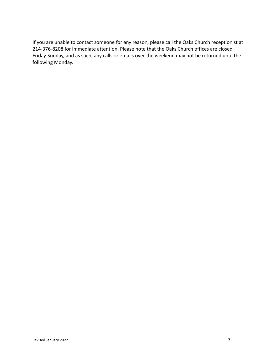If you are unable to contact someone for any reason, please call the Oaks Church receptionist at 214-376-8208 for immediate attention. Please note that the Oaks Church offices are closed Friday-Sunday, and as such, any calls or emails over the weekend may not be returned until the following Monday.